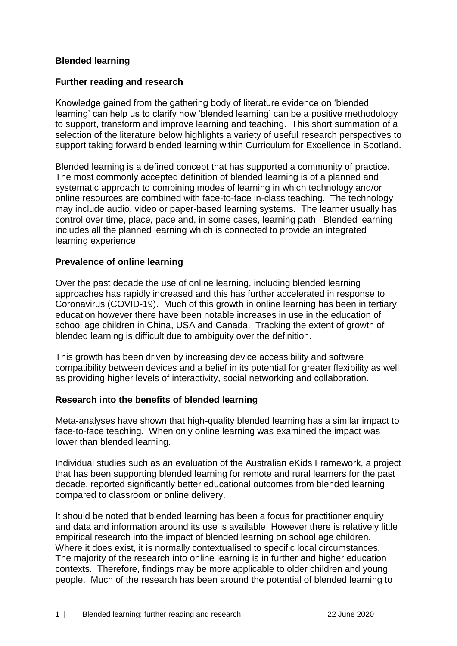### **Blended learning**

#### **Further reading and research**

Knowledge gained from the gathering body of literature evidence on 'blended learning' can help us to clarify how 'blended learning' can be a positive methodology to support, transform and improve learning and teaching. This short summation of a selection of the literature below highlights a variety of useful research perspectives to support taking forward blended learning within Curriculum for Excellence in Scotland.

Blended learning is a defined concept that has supported a community of practice. The most commonly accepted definition of blended learning is of a planned and systematic approach to combining modes of learning in which technology and/or online resources are combined with face-to-face in-class teaching. The technology may include audio, video or paper-based learning systems. The learner usually has control over time, place, pace and, in some cases, learning path. Blended learning includes all the planned learning which is connected to provide an integrated learning experience.

#### **Prevalence of online learning**

Over the past decade the use of online learning, including blended learning approaches has rapidly increased and this has further accelerated in response to Coronavirus (COVID-19). Much of this growth in online learning has been in tertiary education however there have been notable increases in use in the education of school age children in China, USA and Canada. Tracking the extent of growth of blended learning is difficult due to ambiguity over the definition.

This growth has been driven by increasing device accessibility and software compatibility between devices and a belief in its potential for greater flexibility as well as providing higher levels of interactivity, social networking and collaboration.

#### **Research into the benefits of blended learning**

Meta-analyses have shown that high-quality blended learning has a similar impact to face-to-face teaching. When only online learning was examined the impact was lower than blended learning.

Individual studies such as an evaluation of the Australian eKids Framework, a project that has been supporting blended learning for remote and rural learners for the past decade, reported significantly better educational outcomes from blended learning compared to classroom or online delivery.

It should be noted that blended learning has been a focus for practitioner enquiry and data and information around its use is available. However there is relatively little empirical research into the impact of blended learning on school age children. Where it does exist, it is normally contextualised to specific local circumstances. The majority of the research into online learning is in further and higher education contexts. Therefore, findings may be more applicable to older children and young people. Much of the research has been around the potential of blended learning to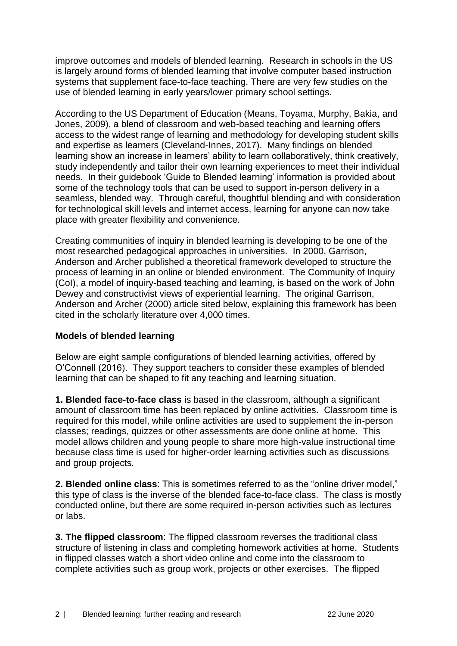improve outcomes and models of blended learning. Research in schools in the US is largely around forms of blended learning that involve computer based instruction systems that supplement face-to-face teaching. There are very few studies on the use of blended learning in early years/lower primary school settings.

According to the US Department of Education (Means, Toyama, Murphy, Bakia, and Jones, 2009), a blend of classroom and web-based teaching and learning offers access to the widest range of learning and methodology for developing student skills and expertise as learners (Cleveland-Innes, 2017). Many findings on blended learning show an increase in learners' ability to learn collaboratively, think creatively, study independently and tailor their own learning experiences to meet their individual needs. In their guidebook 'Guide to Blended learning' information is provided about some of the technology tools that can be used to support in-person delivery in a seamless, blended way. Through careful, thoughtful blending and with consideration for technological skill levels and internet access, learning for anyone can now take place with greater flexibility and convenience.

Creating communities of inquiry in blended learning is developing to be one of the most researched pedagogical approaches in universities. In 2000, Garrison, Anderson and Archer published a theoretical framework developed to structure the process of learning in an online or blended environment. The Community of Inquiry (CoI), a model of inquiry-based teaching and learning, is based on the work of John Dewey and constructivist views of experiential learning. The original Garrison, Anderson and Archer (2000) article sited below, explaining this framework has been cited in the scholarly literature over 4,000 times.

## **Models of blended learning**

Below are eight sample configurations of blended learning activities, offered by O'Connell (2016). They support teachers to consider these examples of blended learning that can be shaped to fit any teaching and learning situation.

**1. Blended face-to-face class** is based in the classroom, although a significant amount of classroom time has been replaced by online activities. Classroom time is required for this model, while online activities are used to supplement the in-person classes; readings, quizzes or other assessments are done online at home. This model allows children and young people to share more high-value instructional time because class time is used for higher-order learning activities such as discussions and group projects.

**2. Blended online class**: This is sometimes referred to as the "online driver model," this type of class is the inverse of the blended face-to-face class. The class is mostly conducted online, but there are some required in-person activities such as lectures or labs.

**3. The flipped classroom**: The flipped classroom reverses the traditional class structure of listening in class and completing homework activities at home. Students in flipped classes watch a short video online and come into the classroom to complete activities such as group work, projects or other exercises. The flipped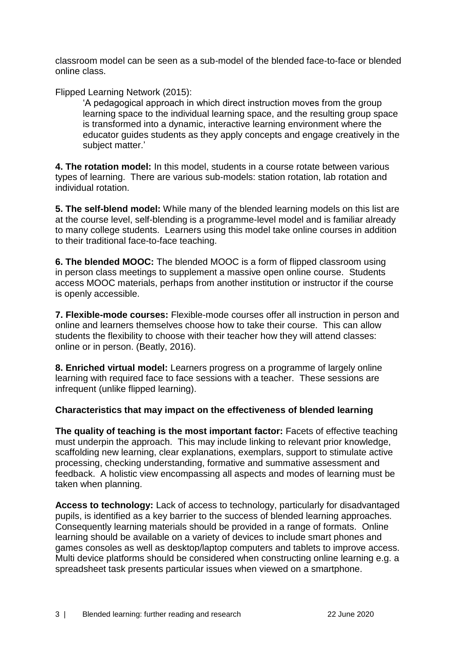classroom model can be seen as a sub-model of the blended face-to-face or blended online class.

Flipped Learning Network (2015):

'A pedagogical approach in which direct instruction moves from the group learning space to the individual learning space, and the resulting group space is transformed into a dynamic, interactive learning environment where the educator guides students as they apply concepts and engage creatively in the subject matter.'

**4. The rotation model:** In this model, students in a course rotate between various types of learning. There are various sub-models: station rotation, lab rotation and individual rotation.

**5. The self-blend model:** While many of the blended learning models on this list are at the course level, self-blending is a programme-level model and is familiar already to many college students. Learners using this model take online courses in addition to their traditional face-to-face teaching.

**6. The blended MOOC:** The blended MOOC is a form of flipped classroom using in person class meetings to supplement a massive open online course. Students access MOOC materials, perhaps from another institution or instructor if the course is openly accessible.

**7. Flexible-mode courses:** Flexible-mode courses offer all instruction in person and online and learners themselves choose how to take their course. This can allow students the flexibility to choose with their teacher how they will attend classes: online or in person. (Beatly, 2016).

**8. Enriched virtual model:** Learners progress on a programme of largely online learning with required face to face sessions with a teacher. These sessions are infrequent (unlike flipped learning).

## **Characteristics that may impact on the effectiveness of blended learning**

**The quality of teaching is the most important factor:** Facets of effective teaching must underpin the approach. This may include linking to relevant prior knowledge, scaffolding new learning, clear explanations, exemplars, support to stimulate active processing, checking understanding, formative and summative assessment and feedback. A holistic view encompassing all aspects and modes of learning must be taken when planning.

**Access to technology:** Lack of access to technology, particularly for disadvantaged pupils, is identified as a key barrier to the success of blended learning approaches. Consequently learning materials should be provided in a range of formats. Online learning should be available on a variety of devices to include smart phones and games consoles as well as desktop/laptop computers and tablets to improve access. Multi device platforms should be considered when constructing online learning e.g. a spreadsheet task presents particular issues when viewed on a smartphone.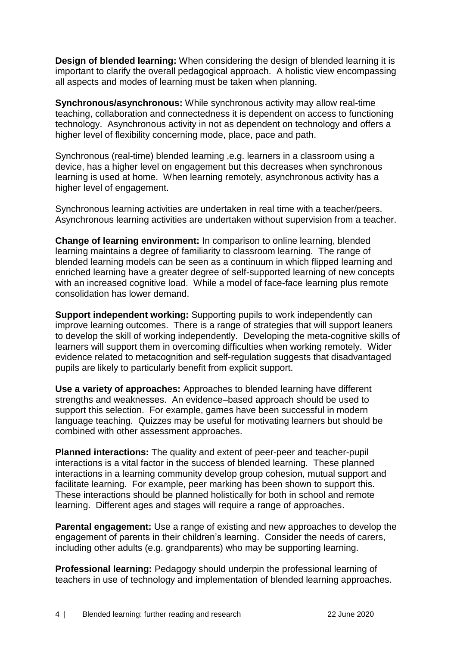**Design of blended learning:** When considering the design of blended learning it is important to clarify the overall pedagogical approach. A holistic view encompassing all aspects and modes of learning must be taken when planning.

**Synchronous/asynchronous:** While synchronous activity may allow real-time teaching, collaboration and connectedness it is dependent on access to functioning technology. Asynchronous activity in not as dependent on technology and offers a higher level of flexibility concerning mode, place, pace and path.

Synchronous (real-time) blended learning ,e.g. learners in a classroom using a device, has a higher level on engagement but this decreases when synchronous learning is used at home. When learning remotely, asynchronous activity has a higher level of engagement.

Synchronous learning activities are undertaken in real time with a teacher/peers. Asynchronous learning activities are undertaken without supervision from a teacher.

**Change of learning environment:** In comparison to online learning, blended learning maintains a degree of familiarity to classroom learning. The range of blended learning models can be seen as a continuum in which flipped learning and enriched learning have a greater degree of self-supported learning of new concepts with an increased cognitive load. While a model of face-face learning plus remote consolidation has lower demand.

**Support independent working:** Supporting pupils to work independently can improve learning outcomes. There is a range of strategies that will support leaners to develop the skill of working independently. Developing the meta-cognitive skills of learners will support them in overcoming difficulties when working remotely. Wider evidence related to metacognition and self-regulation suggests that disadvantaged pupils are likely to particularly benefit from explicit support.

**Use a variety of approaches:** Approaches to blended learning have different strengths and weaknesses. An evidence–based approach should be used to support this selection. For example, games have been successful in modern language teaching. Quizzes may be useful for motivating learners but should be combined with other assessment approaches.

**Planned interactions:** The quality and extent of peer-peer and teacher-pupil interactions is a vital factor in the success of blended learning. These planned interactions in a learning community develop group cohesion, mutual support and facilitate learning. For example, peer marking has been shown to support this. These interactions should be planned holistically for both in school and remote learning. Different ages and stages will require a range of approaches.

**Parental engagement:** Use a range of existing and new approaches to develop the engagement of parents in their children's learning. Consider the needs of carers, including other adults (e.g. grandparents) who may be supporting learning.

**Professional learning:** Pedagogy should underpin the professional learning of teachers in use of technology and implementation of blended learning approaches.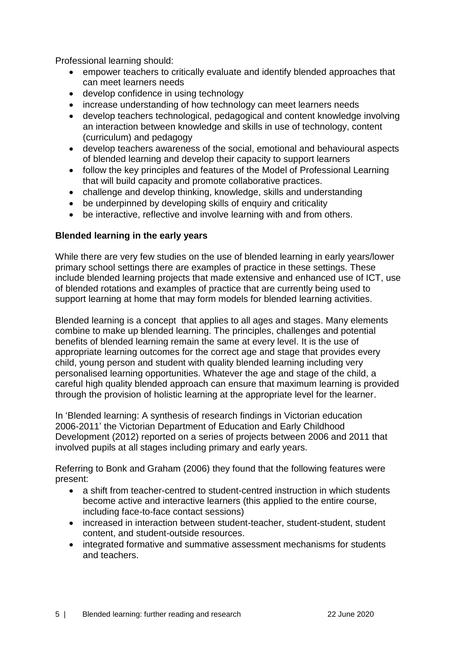Professional learning should:

- empower teachers to critically evaluate and identify blended approaches that can meet learners needs
- develop confidence in using technology
- increase understanding of how technology can meet learners needs
- develop teachers technological, pedagogical and content knowledge involving an interaction between knowledge and skills in use of technology, content (curriculum) and pedagogy
- develop teachers awareness of the social, emotional and behavioural aspects of blended learning and develop their capacity to support learners
- follow the key principles and features of the Model of Professional Learning that will build capacity and promote collaborative practices.
- challenge and develop thinking, knowledge, skills and understanding
- be underpinned by developing skills of enquiry and criticality
- be interactive, reflective and involve learning with and from others.

# **Blended learning in the early years**

While there are very few studies on the use of blended learning in early years/lower primary school settings there are examples of practice in these settings. These include blended learning projects that made extensive and enhanced use of ICT, use of blended rotations and examples of practice that are currently being used to support learning at home that may form models for blended learning activities.

Blended learning is a concept that applies to all ages and stages. Many elements combine to make up blended learning. The principles, challenges and potential benefits of blended learning remain the same at every level. It is the use of appropriate learning outcomes for the correct age and stage that provides every child, young person and student with quality blended learning including very personalised learning opportunities. Whatever the age and stage of the child, a careful high quality blended approach can ensure that maximum learning is provided through the provision of holistic learning at the appropriate level for the learner.

In 'Blended learning: A synthesis of research findings in Victorian education 2006-2011' the Victorian Department of Education and Early Childhood Development (2012) reported on a series of projects between 2006 and 2011 that involved pupils at all stages including primary and early years.

Referring to Bonk and Graham (2006) they found that the following features were present:

- a shift from teacher-centred to student-centred instruction in which students become active and interactive learners (this applied to the entire course, including face-to-face contact sessions)
- increased in interaction between student-teacher, student-student, student content, and student-outside resources.
- integrated formative and summative assessment mechanisms for students and teachers.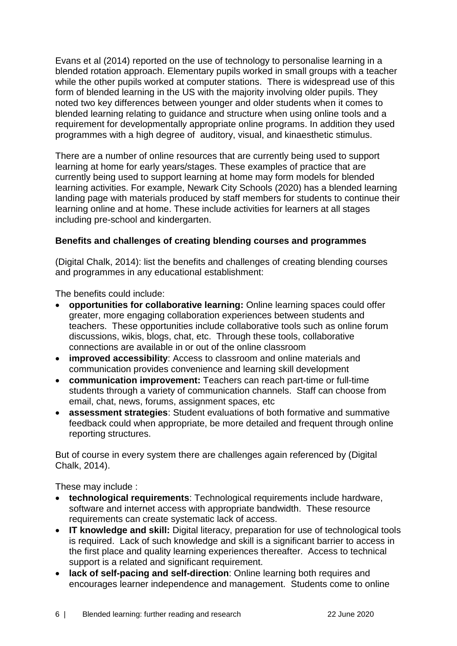Evans et al (2014) reported on the use of technology to personalise learning in a blended rotation approach. Elementary pupils worked in small groups with a teacher while the other pupils worked at computer stations. There is widespread use of this form of blended learning in the US with the majority involving older pupils. They noted two key differences between younger and older students when it comes to blended learning relating to guidance and structure when using online tools and a requirement for developmentally appropriate online programs. In addition they used programmes with a high degree of auditory, visual, and kinaesthetic stimulus.

There are a number of online resources that are currently being used to support learning at home for early years/stages. These examples of practice that are currently being used to support learning at home may form models for blended learning activities. For example, Newark City Schools (2020) has a blended learning landing page with materials produced by staff members for students to continue their learning online and at home. These include activities for learners at all stages including pre-school and kindergarten.

### **Benefits and challenges of creating blending courses and programmes**

(Digital Chalk, 2014): list the benefits and challenges of creating blending courses and programmes in any educational establishment:

The benefits could include:

- **opportunities for collaborative learning:** Online learning spaces could offer greater, more engaging collaboration experiences between students and teachers. These opportunities include collaborative tools such as online forum discussions, wikis, blogs, chat, etc. Through these tools, collaborative connections are available in or out of the online classroom
- **improved accessibility**: Access to classroom and online materials and communication provides convenience and learning skill development
- **communication improvement:** Teachers can reach part-time or full-time students through a variety of communication channels. Staff can choose from email, chat, news, forums, assignment spaces, etc
- **assessment strategies**: Student evaluations of both formative and summative feedback could when appropriate, be more detailed and frequent through online reporting structures.

But of course in every system there are challenges again referenced by (Digital Chalk, 2014).

These may include :

- **technological requirements**: Technological requirements include hardware, software and internet access with appropriate bandwidth. These resource requirements can create systematic lack of access.
- **IT knowledge and skill:** Digital literacy, preparation for use of technological tools is required. Lack of such knowledge and skill is a significant barrier to access in the first place and quality learning experiences thereafter. Access to technical support is a related and significant requirement.
- **lack of self-pacing and self-direction**: Online learning both requires and encourages learner independence and management. Students come to online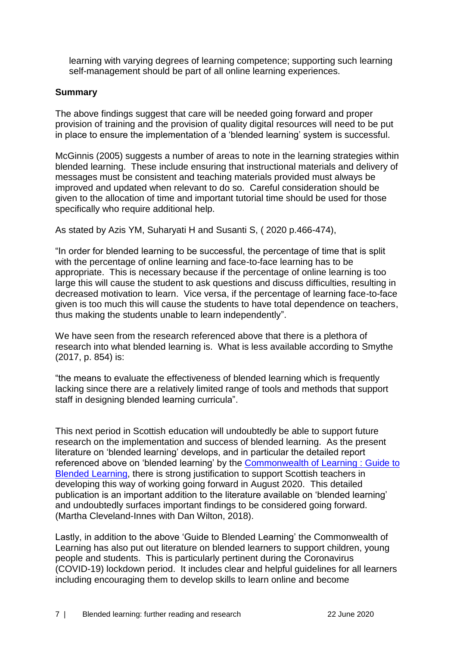learning with varying degrees of learning competence; supporting such learning self-management should be part of all online learning experiences.

### **Summary**

The above findings suggest that care will be needed going forward and proper provision of training and the provision of quality digital resources will need to be put in place to ensure the implementation of a 'blended learning' system is successful.

McGinnis (2005) suggests a number of areas to note in the learning strategies within blended learning. These include ensuring that instructional materials and delivery of messages must be consistent and teaching materials provided must always be improved and updated when relevant to do so. Careful consideration should be given to the allocation of time and important tutorial time should be used for those specifically who require additional help.

As stated by Azis YM, Suharyati H and Susanti S, ( 2020 p.466-474),

"In order for blended learning to be successful, the percentage of time that is split with the percentage of online learning and face-to-face learning has to be appropriate. This is necessary because if the percentage of online learning is too large this will cause the student to ask questions and discuss difficulties, resulting in decreased motivation to learn. Vice versa, if the percentage of learning face-to-face given is too much this will cause the students to have total dependence on teachers, thus making the students unable to learn independently".

We have seen from the research referenced above that there is a plethora of research into what blended learning is. What is less available according to Smythe (2017, p. 854) is:

"the means to evaluate the effectiveness of blended learning which is frequently lacking since there are a relatively limited range of tools and methods that support staff in designing blended learning curricula".

This next period in Scottish education will undoubtedly be able to support future research on the implementation and success of blended learning. As the present literature on 'blended learning' develops, and in particular the detailed report referenced above on 'blended learning' by the [Commonwealth of Learning](http://oasis.col.org/handle/11599/3095#:~:text=The%20Guide%20to%20Blended%20Learning,%2Dto%2Dface%20classroom%20activities.&text=It%20provides%20a%20general%20discussion,and%20the%20subject%20being%20taught.) : Guide to [Blended Learning,](http://oasis.col.org/handle/11599/3095#:~:text=The%20Guide%20to%20Blended%20Learning,%2Dto%2Dface%20classroom%20activities.&text=It%20provides%20a%20general%20discussion,and%20the%20subject%20being%20taught.) there is strong justification to support Scottish teachers in developing this way of working going forward in August 2020. This detailed publication is an important addition to the literature available on 'blended learning' and undoubtedly surfaces important findings to be considered going forward. (Martha Cleveland-Innes with Dan Wilton, 2018).

Lastly, in addition to the above 'Guide to Blended Learning' the Commonwealth of Learning has also put out literature on blended learners to support children, young people and students. This is particularly pertinent during the Coronavirus (COVID-19) lockdown period. It includes clear and helpful guidelines for all learners including encouraging them to develop skills to learn online and become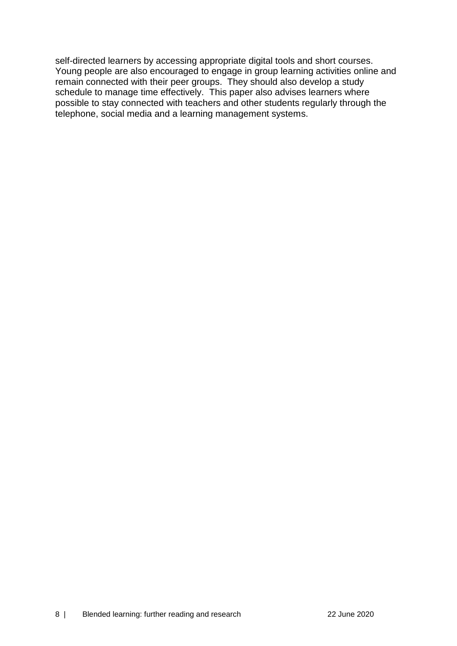self-directed learners by accessing appropriate digital tools and short courses. Young people are also encouraged to engage in group learning activities online and remain connected with their peer groups. They should also develop a study schedule to manage time effectively. This paper also advises learners where possible to stay connected with teachers and other students regularly through the telephone, social media and a learning management systems.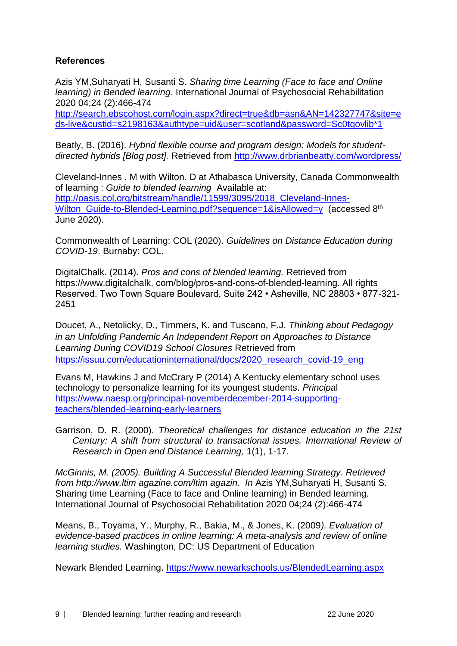## **References**

Azis YM,Suharyati H, Susanti S. *Sharing time Learning (Face to face and Online learning) in Bended learning*. International Journal of Psychosocial Rehabilitation 2020 04;24 (2):466-474 [http://search.ebscohost.com/login.aspx?direct=true&db=asn&AN=142327747&site=e](http://search.ebscohost.com/login.aspx?direct=true&db=asn&AN=142327747&site=eds-live&custid=s2198163&authtype=uid&user=scotland&password=Sc0tgovlib*1) [ds-live&custid=s2198163&authtype=uid&user=scotland&password=Sc0tgovlib\\*1](http://search.ebscohost.com/login.aspx?direct=true&db=asn&AN=142327747&site=eds-live&custid=s2198163&authtype=uid&user=scotland&password=Sc0tgovlib*1)

Beatly, B. (2016). *Hybrid flexible course and program design: Models for studentdirected hybrids [Blog post].* Retrieved from<http://www.drbrianbeatty.com/wordpress/>

Cleveland-Innes . M with Wilton. D at Athabasca University, Canada Commonwealth of learning : *Guide to blended learning* Available at: [http://oasis.col.org/bitstream/handle/11599/3095/2018\\_Cleveland-Innes-](http://oasis.col.org/bitstream/handle/11599/3095/2018_Cleveland-Innes-Wilton_Guide-to-Blended-Learning.pdf?sequence=1&isAllowed=y)Wilton Guide-to-Blended-Learning.pdf?sequence=1&isAllowed=y (accessed 8<sup>th</sup>) June 2020).

Commonwealth of Learning: COL (2020). *Guidelines on Distance Education during COVID-19*. Burnaby: COL.

DigitalChalk. (2014). *Pros and cons of blended learning.* Retrieved from https://www.digitalchalk. com/blog/pros-and-cons-of-blended-learning. All rights Reserved. Two Town Square Boulevard, Suite 242 • Asheville, NC 28803 • 877-321- 2451

Doucet, A., Netolicky, D., Timmers, K. and Tuscano, F.J. *Thinking about Pedagogy in an Unfolding Pandemic An Independent Report on Approaches to Distance Learning During COVID19 School Closures* Retrieved from [https://issuu.com/educationinternational/docs/2020\\_research\\_covid-19\\_eng](https://issuu.com/educationinternational/docs/2020_research_covid-19_eng)

Evans M, Hawkins J and McCrary P (2014) A Kentucky elementary school uses technology to personalize learning for its youngest students. *Principa*l [https://www.naesp.org/principal-novemberdecember-2014-supporting](https://www.naesp.org/principal-novemberdecember-2014-supporting-teachers/blended-learning-early-learners)[teachers/blended-learning-early-learners](https://www.naesp.org/principal-novemberdecember-2014-supporting-teachers/blended-learning-early-learners)

Garrison, D. R. (2000). *Theoretical challenges for distance education in the 21st Century: A shift from structural to transactional issues. International Review of Research in Open and Distance Learning,* 1(1), 1-17.

*McGinnis, M. (2005). Building A Successful Blended learning Strategy. Retrieved from http://www.ltim agazine.com/ltim agazin. In* Azis YM,Suharyati H, Susanti S. Sharing time Learning (Face to face and Online learning) in Bended learning. International Journal of Psychosocial Rehabilitation 2020 04;24 (2):466-474

Means, B., Toyama, Y., Murphy, R., Bakia, M., & Jones, K. (2009*). Evaluation of evidence-based practices in online learning: A meta-analysis and review of online learning studies.* Washington, DC: US Department of Education

Newark Blended Learning.<https://www.newarkschools.us/BlendedLearning.aspx>